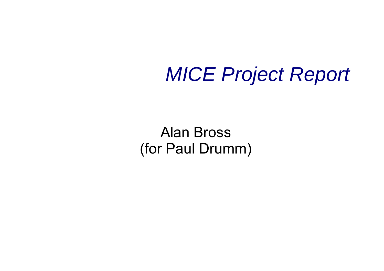#### *MICE Project Report*

Alan Bross (for Paul Drumm)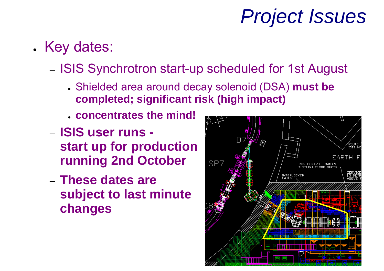## *Project Issues*

- . Key dates:
	- ISIS Synchrotron start-up scheduled for 1st August
		- Shielded area around decay solenoid (DSA) **must be completed; significant risk (high impact)**
		- **concentrates the mind!**
	- **ISIS user runs start up for production running 2nd October**
	- **These dates are subject to last minute changes**

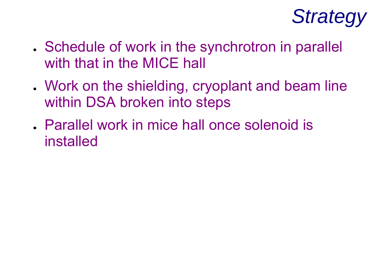

- . Schedule of work in the synchrotron in parallel with that in the MICE hall
- . Work on the shielding, cryoplant and beam line within DSA broken into steps
- . Parallel work in mice hall once solenoid is installed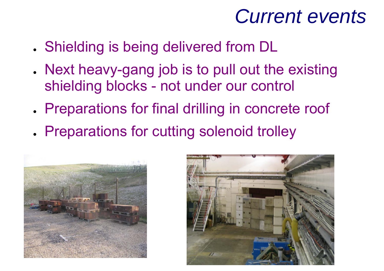#### *Current events*

- . Shielding is being delivered from DL
- . Next heavy-gang job is to pull out the existing shielding blocks - not under our control
- . Preparations for final drilling in concrete roof
- . Preparations for cutting solenoid trolley



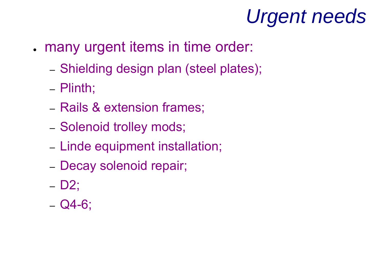# *Urgent needs*

- . many urgent items in time order:
	- Shielding design plan (steel plates);
	- Plinth;
	- Rails & extension frames;
	- Solenoid trolley mods;
	- Linde equipment installation;
	- Decay solenoid repair;
	- D2;
	- Q4-6;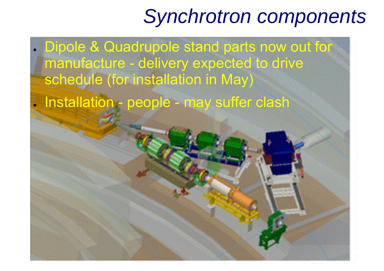## *Synchrotron components*

● Dipole & Quadrupole stand parts now out for manufacture - delivery expected to drive schedule (for installation in May)

• Installation - people - may suffer clash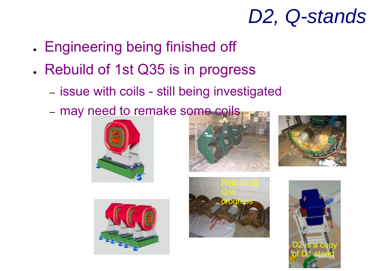## *D2, Q-stands*

- . Engineering being finished off
- . Rebuild of 1st Q35 is in progress
	- issue with coils still being investigated
	- may need to remake some coils











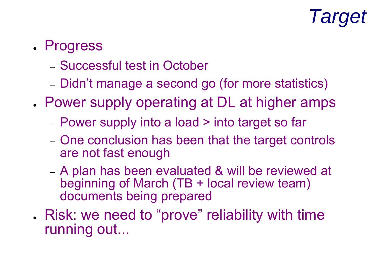## *Target*

#### . Progress

- Successful test in October
- Didn't manage a second go (for more statistics)
- . Power supply operating at DL at higher amps
	- –Power supply into a load > into target so far
	- One conclusion has been that the target controls are not fast enough
	- A plan has been evaluated & will be reviewed at beginning of March (TB + local review team) documents being prepared
- . Risk: we need to "prove" reliability with time running out...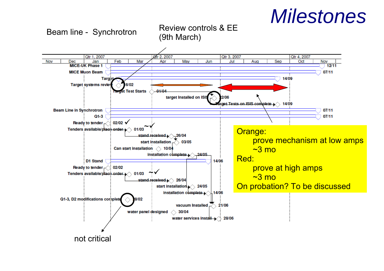#### *Milestones*

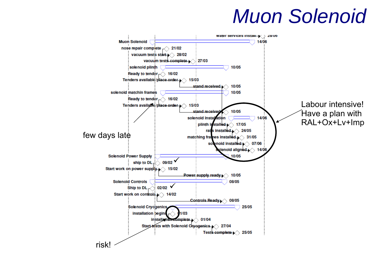#### *Muon Solenoid*

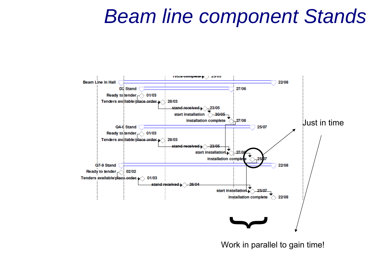#### *Beam line component Stands*



Work in parallel to gain time!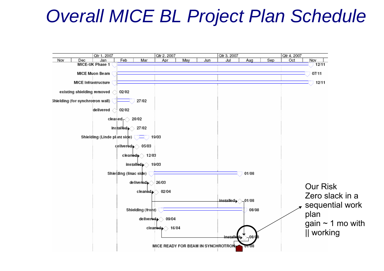#### *Overall MICE BL Project Plan Schedule*

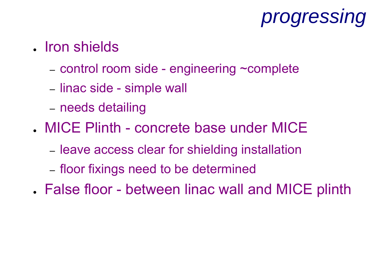## *progressing*

- Iron shields
	- control room side engineering ~complete
	- linac side simple wall
	- needs detailing
- MICE Plinth concrete base under MICE
	- **leave access clear for shielding installation**
	- floor fixings need to be determined
- . False floor between linac wall and MICE plinth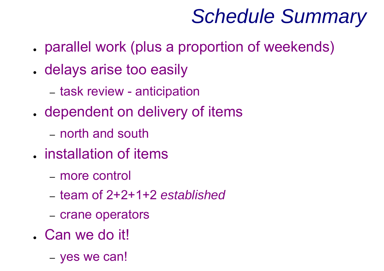## *Schedule Summary*

- parallel work (plus a proportion of weekends)
- . delays arise too easily
	- task review anticipation
- . dependent on delivery of items
	- north and south
- installation of items
	- more control
	- team of 2+2+1+2 *established*
	- crane operators
- . Can we do it!
	- yes we can!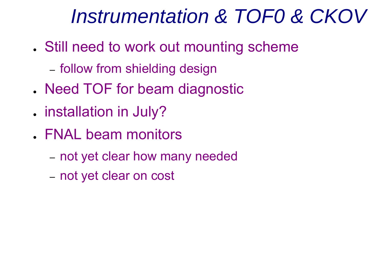## *Instrumentation & TOF0 & CKOV*

- . Still need to work out mounting scheme
	- follow from shielding design
- . Need TOF for beam diagnostic
- **.** installation in July?
- . FNAL beam monitors
	- not yet clear how many needed
	- not yet clear on cost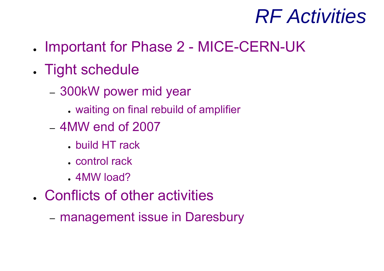### *RF Activities*

- ●Important for Phase 2 - MICE-CERN-UK
- . Tight schedule
	- 300kW power mid year
		- waiting on final rebuild of amplifier
	- 4MW end of 2007
		- build HT rack
		- control rack
		- . 4MW load?
- . Conflicts of other activities
	- management issue in Daresbury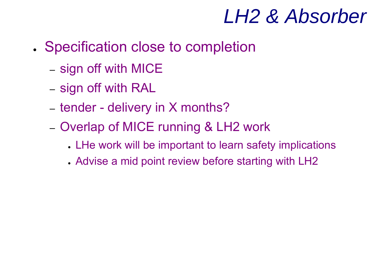### *LH2 & Absorber*

- . Specification close to completion
	- sign off with MICE
	- sign off with RAL
	- $-$  tender delivery in X months?
	- Overlap of MICE running & LH2 work
		- . LHe work will be important to learn safety implications
		- . Advise a mid point review before starting with LH2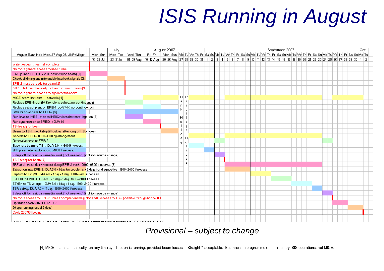# *ISIS Running in August*

|                                                                                                   |           | July     |           |         | August 2007                                                                                                             |                     |   |  |  |  |  |  | September 2007 |  |  |  |  |  | Oct. |
|---------------------------------------------------------------------------------------------------|-----------|----------|-----------|---------|-------------------------------------------------------------------------------------------------------------------------|---------------------|---|--|--|--|--|--|----------------|--|--|--|--|--|------|
| August Bank Hol: Mon. 27-Aug-07. 28 Privilege.                                                    | Mon-Sun   | Mon-Tue  | Wed-Thu   | Fri-Fri | Mon-Sun Md Tulwe Th Fr Sa SuMd Tulwe Th Fr Sa SuMd Tulwe Th Fr Sa SuMd Tulwe Th Fr Sa SuMd Tulwe Th Fr Sa SuMd Tul      |                     |   |  |  |  |  |  |                |  |  |  |  |  |      |
|                                                                                                   | 16-22-Jul | 23-31Jul | 01-09 Aug |         | 10-17 Aug 20-26 Aug 27 28 29 30 31 1 2 3 4 5 6 7 8 9 10 11 12 13 14 15 16 17 18 19 20 21 22 23 24 25 26 27 28 29 30 1 2 |                     |   |  |  |  |  |  |                |  |  |  |  |  |      |
| Water, vacuum, etc. all complete                                                                  |           |          |           |         |                                                                                                                         |                     |   |  |  |  |  |  |                |  |  |  |  |  |      |
| No more general access to linac tunnel                                                            |           |          |           |         |                                                                                                                         |                     |   |  |  |  |  |  |                |  |  |  |  |  |      |
| Fire up linac RF, 1RF + 2RF cavities (no beam) [1]                                                |           |          |           |         |                                                                                                                         |                     |   |  |  |  |  |  |                |  |  |  |  |  |      |
| Check all timing and m/c enable interlock signals OK                                              |           |          |           |         |                                                                                                                         |                     |   |  |  |  |  |  |                |  |  |  |  |  |      |
| EPB-2 must be ready for beam [2]                                                                  |           |          |           |         |                                                                                                                         |                     |   |  |  |  |  |  |                |  |  |  |  |  |      |
| MICE Hall must be ready for beam in synch, room [3]                                               |           |          |           |         |                                                                                                                         |                     |   |  |  |  |  |  |                |  |  |  |  |  |      |
| No more general access to synchrotron room                                                        |           |          |           |         |                                                                                                                         |                     |   |  |  |  |  |  |                |  |  |  |  |  |      |
| MICE beam line tests -- parasitic [4]                                                             |           |          |           |         |                                                                                                                         | $\mathbf{B}$<br>- P |   |  |  |  |  |  |                |  |  |  |  |  |      |
| Replace EPB-1 roof (M Krendler's sched., no contingency)                                          |           |          |           |         |                                                                                                                         | a                   |   |  |  |  |  |  |                |  |  |  |  |  |      |
| Replace extract plant on EPB-1 roof (MK, no contingency)                                          |           |          |           |         |                                                                                                                         | D.<br>k.            |   |  |  |  |  |  |                |  |  |  |  |  |      |
| Little or no access to EPB-2 [5]                                                                  |           |          |           |         |                                                                                                                         |                     |   |  |  |  |  |  |                |  |  |  |  |  |      |
| Run linac to IHBS1, then to IHBS2 when first steel layer on [6]                                   |           |          |           |         |                                                                                                                         | Н                   |   |  |  |  |  |  |                |  |  |  |  |  |      |
| Run synchrotron to SRBD, >DJA 1.0                                                                 |           |          |           |         |                                                                                                                         | $\circ$             |   |  |  |  |  |  |                |  |  |  |  |  |      |
| TS-1 ready for beam                                                                               |           |          |           |         |                                                                                                                         |                     |   |  |  |  |  |  |                |  |  |  |  |  |      |
| Beam to TS-1. Inevitably difficulties after long off. So 1 week                                   |           |          |           |         |                                                                                                                         | j.                  |   |  |  |  |  |  |                |  |  |  |  |  |      |
| Access to EPB-2 0800-1600 by arrangement                                                          |           |          |           |         |                                                                                                                         | d<br>a.             | н |  |  |  |  |  |                |  |  |  |  |  |      |
| General access to EPB-2                                                                           |           |          |           |         |                                                                                                                         | $\mathbf{q}$<br>- 0 |   |  |  |  |  |  |                |  |  |  |  |  |      |
| Base rate beam to TS-1, DJA 2.0, >1600 if necess.                                                 |           |          |           |         |                                                                                                                         |                     |   |  |  |  |  |  |                |  |  |  |  |  |      |
| 2RF parameter exploration. >1600 if necess.                                                       |           |          |           |         |                                                                                                                         |                     |   |  |  |  |  |  |                |  |  |  |  |  |      |
| 2 days off for residual remedial work (not weekend) (incl. ion source change)                     |           |          |           |         |                                                                                                                         |                     | d |  |  |  |  |  |                |  |  |  |  |  |      |
| TS-2 ready for beam [7]                                                                           |           |          |           |         |                                                                                                                         |                     | a |  |  |  |  |  |                |  |  |  |  |  |      |
| 2RF at times of day when not doing EPB-2 work. 0000-0800 if necess. [8]                           |           |          |           |         |                                                                                                                         |                     | ų |  |  |  |  |  |                |  |  |  |  |  |      |
| Extraction into EPB-2. DJA3.0 + 1 day for problems + 2 days for diagnostics. 1600-2400 if necess. |           |          |           |         |                                                                                                                         |                     |   |  |  |  |  |  |                |  |  |  |  |  |      |
| Septum to E2Q13, DJA 4.0 + 1 day + 1 day, 1600-2400 if necess.                                    |           |          |           |         |                                                                                                                         |                     |   |  |  |  |  |  |                |  |  |  |  |  |      |
| E2HB3 to E2VB4, DJA 5.0 + 1 day + 1 day, 1600-2400 if necess.                                     |           |          |           |         |                                                                                                                         |                     |   |  |  |  |  |  |                |  |  |  |  |  |      |
| E2VB4 to TS-2 target. DJA 6.0 + 1 day + 1 day. 1600-2400 if necess.                               |           |          |           |         |                                                                                                                         |                     |   |  |  |  |  |  |                |  |  |  |  |  |      |
| TSA safety, DJA 7.0 + "1 day, 1600-2400 if necess.                                                |           |          |           |         |                                                                                                                         |                     |   |  |  |  |  |  |                |  |  |  |  |  |      |
| 2 days off for residual remedial work (not weekend) (incl. ion source change)                     |           |          |           |         |                                                                                                                         |                     |   |  |  |  |  |  |                |  |  |  |  |  |      |
| No more access to EPB-2 unless comprehensively block off. Access to TS-2 possible through Mode 4B |           |          |           |         |                                                                                                                         |                     |   |  |  |  |  |  |                |  |  |  |  |  |      |
| Optimise beam with 2RF to TS-1                                                                    |           |          |           |         |                                                                                                                         |                     |   |  |  |  |  |  |                |  |  |  |  |  |      |
| 50 pps running (usual 3 days)                                                                     |           |          |           |         |                                                                                                                         |                     |   |  |  |  |  |  |                |  |  |  |  |  |      |
| Cycle 2007/01 begins                                                                              |           |          |           |         |                                                                                                                         |                     |   |  |  |  |  |  |                |  |  |  |  |  |      |
| D.18.10, ato, in Seet 10 in Dean Adams' "TS.2 Ream Commissioning Requirements" (SISIRROMTIR27J08) |           |          |           |         |                                                                                                                         |                     |   |  |  |  |  |  |                |  |  |  |  |  |      |

#### *Provisional – subject to change*

[4] MICE beam can basically run any time synchrotron is running, provided beam losses in Straight 7 acceptable. But machine programme determined by ISIS operations, not MICE.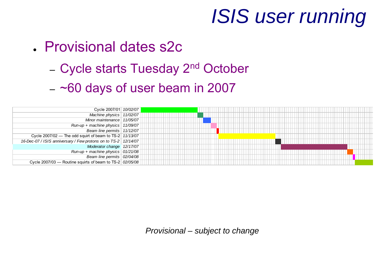## *ISIS user running*

#### ● Provisional dates s2c

- Cycle starts Tuesday 2<sup>nd</sup> October
- $-$  ~60 days of user beam in 2007



*Provisional – subject to change*